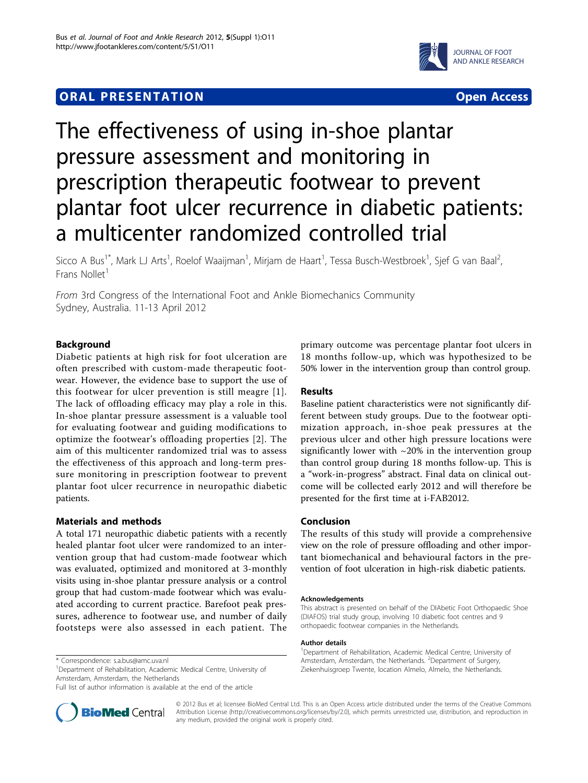## **ORAL PRESENTATION OPEN ACCESS**



# The effectiveness of using in-shoe plantar pressure assessment and monitoring in prescription therapeutic footwear to prevent plantar foot ulcer recurrence in diabetic patients: a multicenter randomized controlled trial

Sicco A Bus<sup>1\*</sup>, Mark LJ Arts<sup>1</sup>, Roelof Waaijman<sup>1</sup>, Mirjam de Haart<sup>1</sup>, Tessa Busch-Westbroek<sup>1</sup>, Sjef G van Baal<sup>2</sup> .<br>, Frans Nollet<sup>1</sup>

From 3rd Congress of the International Foot and Ankle Biomechanics Community Sydney, Australia. 11-13 April 2012

## Background

Diabetic patients at high risk for foot ulceration are often prescribed with custom-made therapeutic footwear. However, the evidence base to support the use of this footwear for ulcer prevention is still meagre [[1\]](#page-1-0). The lack of offloading efficacy may play a role in this. In-shoe plantar pressure assessment is a valuable tool for evaluating footwear and guiding modifications to optimize the footwear's offloading properties [\[2](#page-1-0)]. The aim of this multicenter randomized trial was to assess the effectiveness of this approach and long-term pressure monitoring in prescription footwear to prevent plantar foot ulcer recurrence in neuropathic diabetic patients.

## Materials and methods

A total 171 neuropathic diabetic patients with a recently healed plantar foot ulcer were randomized to an intervention group that had custom-made footwear which was evaluated, optimized and monitored at 3-monthly visits using in-shoe plantar pressure analysis or a control group that had custom-made footwear which was evaluated according to current practice. Barefoot peak pressures, adherence to footwear use, and number of daily footsteps were also assessed in each patient. The

<sup>1</sup>Department of Rehabilitation, Academic Medical Centre, University of Amsterdam, Amsterdam, the Netherlands

Full list of author information is available at the end of the article



primary outcome was percentage plantar foot ulcers in 18 months follow-up, which was hypothesized to be 50% lower in the intervention group than control group.

### Results

Baseline patient characteristics were not significantly different between study groups. Due to the footwear optimization approach, in-shoe peak pressures at the previous ulcer and other high pressure locations were significantly lower with  $\sim$ 20% in the intervention group than control group during 18 months follow-up. This is a "work-in-progress" abstract. Final data on clinical outcome will be collected early 2012 and will therefore be presented for the first time at i-FAB2012.

## Conclusion

The results of this study will provide a comprehensive view on the role of pressure offloading and other important biomechanical and behavioural factors in the prevention of foot ulceration in high-risk diabetic patients.

#### Acknowledgements

This abstract is presented on behalf of the DIAbetic Foot Orthopaedic Shoe (DIAFOS) trial study group, involving 10 diabetic foot centres and 9 orthopaedic footwear companies in the Netherlands.

#### Author details

<sup>1</sup>Department of Rehabilitation, Academic Medical Centre, University of Amsterdam, Amsterdam, the Netherlands. <sup>2</sup>Department of Surgery, Ziekenhuisgroep Twente, location Almelo, Almelo, the Netherlands.

© 2012 Bus et al; licensee BioMed Central Ltd. This is an Open Access article distributed under the terms of the Creative Commons Attribution License [\(http://creativecommons.org/licenses/by/2.0](http://creativecommons.org/licenses/by/2.0)), which permits unrestricted use, distribution, and reproduction in any medium, provided the original work is properly cited.

<sup>\*</sup> Correspondence: [s.a.bus@amc.uva.nl](mailto:s.a.bus@amc.uva.nl)